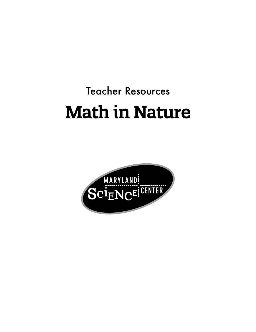# Teacher Resources Math in Nature

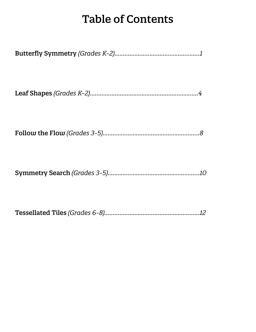## Table of Contents

|--|--|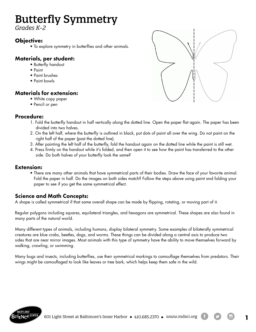## Butterfly Symmetry

*Grades K-2*

### **Objective:**

• To explore symmetry in butterflies and other animals.

### Materials, per student:

- Butterfly handout
- Paint
- Paint brushes
- Paint bowls

### Materials for extension:

- White copy paper
- Pencil or pen

### Procedure:

- 1. Fold the butterfly handout in half vertically along the dotted line. Open the paper flat again. The paper has been divided into two halves.
- 2. On the left half, where the butterfly is outlined in black, put dots of paint all over the wing. Do not paint on the right half of the paper (past the dotted line).
- 3. After painting the left half of the butterfly, fold the handout again on the dotted line while the paint is still wet.
- 4. Press firmly on the handout while it's folded, and then open it to see how the paint has transferred to the other side. Do both halves of your butterfly look the same?

#### Extension:

• There are many other animals that have symmetrical parts of their bodies. Draw the face of your favorite animal. Fold the paper in half. Do the images on both sides match? Follow the steps above using paint and folding your paper to see if you get the same symmetrical effect.

### Science and Math Concepts:

A shape is called symmetrical if that same overall shape can be made by flipping, rotating, or moving part of it.

Regular polygons including squares, equilateral triangles, and hexagons are symmetrical. These shapes are also found in many parts of the natural world.

Many different types of animals, including humans, display bilateral symmetry. Some examples of bilaterally symmetrical creatures are blue crabs, beetles, dogs, and worms. These things can be divided along a central axis to produce two sides that are near mirror images. Most animals with this type of symmetry have the ability to move themselves forward by walking, crawling, or swimming.

Many bugs and insects, including butterflies, use their symmetrical markings to camouflage themselves from predators. Their wings might be camouflaged to look like leaves or tree bark, which helps keep them safe in the wild.





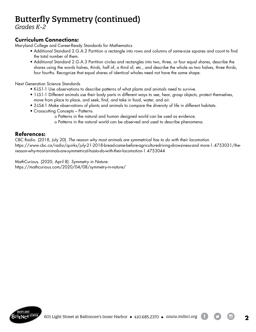## Butterfly Symmetry (continued)

*Grades K-2*

### Curriculum Connections:

Maryland College and Career-Ready Standards for Mathematics

- Additional Standard 2.G.A.2 Partition a rectangle into rows and columns of same-size squares and count to find the total number of them.
- Additional Standard 2.G.A.3 Partition circles and rectangles into two, three, or four equal shares, describe the shares using the words halves, thirds, half of, a third of, etc., and describe the whole as two halves, three thirds, four fourths. Recognize that equal shares of identical wholes need not have the same shape.

Next Generation Science Standards

- K-LS1-1 Use observations to describe patterns of what plants and animals need to survive.
- 1-LS1-1 Different animals use their body parts in different ways to see, hear, grasp objects, protect themselves, move from place to place, and seek, find, and take in food, water, and air.
- 2-LS4-1 Make observations of plants and animals to compare the diversity of life in different habitats.
- Crosscutting Concepts Patterns
	- o Patterns in the natural and human designed world can be used as evidence.
		- o Patterns in the natural world can be observed and used to describe phenomena.

### References:

CBC Radio. (2018, July 20). *The reason why most animals are symmetrical has to do with their locomotion*. https://www.cbc.ca/radio/quirks/july-21-2018-bread-came-before-agriculturedriving-drowsiness-and more-1.4753031/thereason-why-most-animals-are-symmetrical-hasto-do-with-their-locomotion-1.4753044

MathCurious. (2020, April 8). *Symmetry in Nature.* https://mathcurious.com/2020/04/08/symmetry-in-nature/



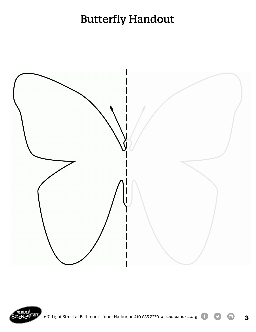## Butterfly Handout







 $\bullet$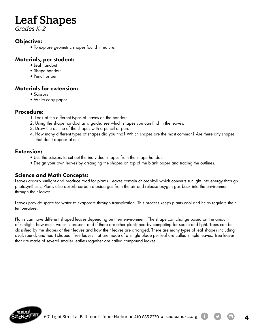## Leaf Shapes

*Grades K-2*

### Objective:

• To explore geometric shapes found in nature.

### Materials, per student:

- Leaf handout
- Shape handout
- Pencil or pen

### Materials for extension:

- Scissors
- White copy paper

#### Procedure:

- 1. Look at the different types of leaves on the handout.
- 2. Using the shape handout as a guide, see which shapes you can find in the leaves.
- 3. Draw the outline of the shapes with a pencil or pen.
- 4. How many different types of shapes did you find? Which shapes are the most common? Are there any shapes that don't appear at all?

### Extension:

- Use the scissors to cut out the individual shapes from the shape handout.
- Design your own leaves by arranging the shapes on top of the blank paper and tracing the outlines.

### Science and Math Concepts:

Leaves absorb sunlight and produce food for plants. Leaves contain chlorophyll which converts sunlight into energy through photosynthesis. Plants also absorb carbon dioxide gas from the air and release oxygen gas back into the environment through their leaves.

Leaves provide space for water to evaporate through transpiration. This process keeps plants cool and helps regulate their temperature.

Plants can have different shaped leaves depending on their environment. The shape can change based on the amount of sunlight, how much water is present, and if there are other plants nearby competing for space and light. Trees can be classified by the shapes of their leaves and how their leaves are arranged. There are many types of leaf shapes including oval, round, and heart shaped. Tree leaves that are made of a single blade per leaf are called simple leaves. Tree leaves that are made of several smaller leaflets together are called compound leaves.

**4**

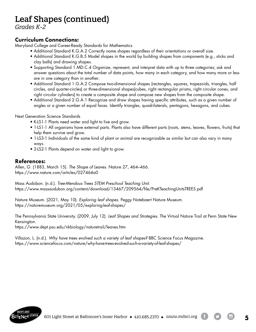## Leaf Shapes (continued)

*Grades K-2*

### Curriculum Connections:

Maryland College and Career-Ready Standards for Mathematics

- Additional Standard K.G.A.2 Correctly name shapes regardless of their orientations or overall size.
	- Additional Standard K.G.B.5 Model shapes in the world by building shapes from components (e.g., sticks and clay balls) and drawing shapes.
	- Supporting Standard 1.MD.C.4 Organize, represent, and interpret data with up to three categories; ask and answer questions about the total number of data points, how many in each category, and how many more or less are in one category than in another.
	- Additional Standard 1.G.A.2 Compose two-dimensional shapes (rectangles, squares, trapezoids, triangles, half circles, and quarter-circles) or three-dimensional shapes(cubes, right rectangular prisms, right circular cones, and right circular cylinders) to create a composite shape and compose new shapes from the composite shape.
	- Additional Standard 2.G.A.1 Recognize and draw shapes having specific attributes, such as a given number of angles or a given number of equal faces. Identify triangles, quadrilaterals, pentagons, hexagons, and cubes.

Next Generation Science Standards

- K-LS1-1 Plants need water and light to live and grow.
- 1-LS1-1 All organisms have external parts. Plants also have different parts (roots, stems, leaves, flowers, fruits) that help them survive and grow.
- 1-LS3-1 Individuals of the same kind of plant or animal are recognizable as similar but can also vary in many ways.
- 2-LS2-1 Plants depend on water and light to grow.

### References:

Allen, G. (1883, March 15). *The Shape of Leaves.* Nature 27, 464–466. https://www.nature.com/articles/027464a0

Mass Audobon. (n.d.). *Tree-Mendous Trees STEM Preschool Teaching Unit.* https://www.massaudubon.org/content/download/13467/209564/file/PreKTeachingUnitsTREES.pdf

Nature Museum. (2021, May 10). *Exploring leaf shapes.* Peggy Notebaert Nature Museum*.* https://naturemuseum.org/2021/05/exploring-leaf-shapes/

The Pennsylvania State University. (2009, July 12). *Leaf Shapes and Strategies.* The Virtual Nature Trail at Penn State New Kensington.

https://www.dept.psu.edu/nkbiology/naturetrail/leaves.htm

Villazon, L. (n.d.). *Why have trees evolved such a variety of leaf shapes?* BBC Science Focus Magazine. https://www.sciencefocus.com/nature/why-have-trees-evolved-such-a-variety-of-leaf-shapes/



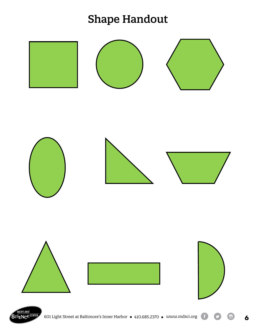## **Shape Handout**



**6**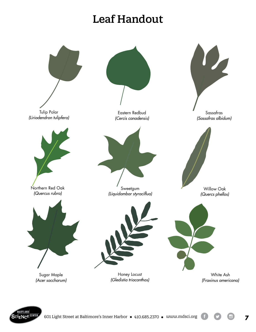## Leaf Handout





**7**

 $\Box$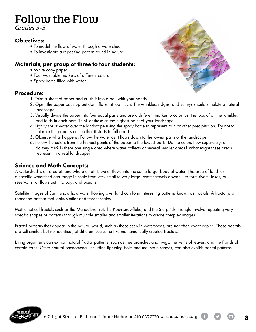## Follow the Flow

*Grades 3-5*

### Objectives:

- To model the flow of water through a watershed.
- To investigate a repeating pattern found in nature.

### Materials, per group of three to four students:

- White copy paper
- Four washable markers of different colors
- Spray bottle filled with water

### Procedure:

- 1. Take a sheet of paper and crush it into a ball with your hands.
- 2. Open the paper back up but don't flatten it too much. The wrinkles, ridges, and valleys should simulate a natural landscape.
- 3. Visually divide the paper into four equal parts and use a different marker to color just the tops of all the wrinkles and folds in each part. Think of these as the highest point of your landscape.
- 4. Lightly spritz water over the landscape using the spray bottle to represent rain or other precipitation. Try not to saturate the paper so much that it starts to fall apart.
- 5. Observe what happens. Follow the water as it flows down to the lowest parts of the landscape.
- 6. Follow the colors from the highest points of the paper to the lowest parts. Do the colors flow separately, or do they mix? Is there one single area where water collects or several smaller areas? What might these areas represent in a real landscape?

### Science and Math Concepts:

A watershed is an area of land where all of its water flows into the same larger body of water. The area of land for a specific watershed can range in scale from very small to very large. Water travels downhill to form rivers, lakes, or reservoirs, or flows out into bays and oceans.

Satellite images of Earth show how water flowing over land can form interesting patterns known as fractals. A fractal is a repeating pattern that looks similar at different scales.

Mathematical fractals such as the Mandelbrot set, the Koch snowflake, and the Sierpiński triangle involve repeating very specific shapes or patterns through multiple smaller and smaller iterations to create complex images.

Fractal patterns that appear in the natural world, such as those seen in watersheds, are not often exact copies. These fractals are self-similar, but not identical, at different scales, unlike mathematically created fractals.

Living organisms can exhibit natural fractal patterns, such as tree branches and twigs, the veins of leaves, and the fronds of certain ferns. Other natural phenomena, including lightning bolts and mountain ranges, can also exhibit fractal patterns.



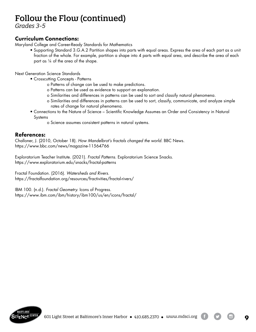### Follow the Flow (continued)

*Grades 3-5*

### Curriculum Connections:

Maryland College and Career-Ready Standards for Mathematics

• Supporting Standard 3.G.A.2 Partition shapes into parts with equal areas. Express the area of each part as a unit fraction of the whole. For example, partition a shape into 4 parts with equal area, and describe the area of each part as ¼ of the area of the shape.

Next Generation Science Standards

- Crosscutting Concepts Patterns
	- o Patterns of change can be used to make predictions.
	- o Patterns can be used as evidence to support an explanation.
	- o Similarities and differences in patterns can be used to sort and classify natural phenomena.
	- o Similarities and differences in patterns can be used to sort, classify, communicate, and analyze simple rates of change for natural phenomena.
- Connections to the Nature of Science Scientific Knowledge Assumes an Order and Consistency in Natural Systems
	- o Science assumes consistent patterns in natural systems.

### References:

Challoner, J. (2010, October 18). *How Mandelbrot's fractals changed the world.* BBC News. https://www.bbc.com/news/magazine-11564766

Exploratorium Teacher Institute. (2021). *Fractal Patterns.* Exploratorium Science Snacks. https://www.exploratorium.edu/snacks/fractal-patterns

Fractal Foundation. (2016). *Watersheds and Rivers.* https://fractalfoundation.org/resources/fractivities/fractal-rivers/

IBM 100. (n.d.). *Fractal Geometry.* Icons of Progress. https://www.ibm.com/ibm/history/ibm100/us/en/icons/fractal/

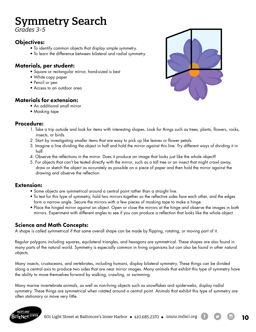## Symmetry Search

*Grades 3-5*

### Objectives:

- To identify common objects that display simple symmetry.
- To learn the difference between bilateral and radial symmetry.

### Materials, per student:

- Square or rectangular mirror, hand-sized is best
- White copy paper
- Pencil or pen
- Access to an outdoor area

### Materials for extension:

- An additional small mirror
- Masking tape

### Procedure:

- 1. Take a trip outside and look for items with interesting shapes. Look for things such as trees, plants, flowers, rocks, insects, or birds.
- 2. Start by investigating smaller items that are easy to pick up like leaves or flower petals.
- 3. Imagine a line dividing the object in half and hold the mirror against this line. Try different ways of dividing it in half.
- 4. Observe the reflections in the mirror. Does it produce an image that looks just like the whole object?
- 5. For objects that can't be tested directly with the mirror, such as a tall tree or an insect that might crawl away, draw or sketch the object as accurately as possible on a piece of paper and then hold the mirror against the drawing and observe the reflection.

### Extension:

- Some objects are symmetrical around a central point rather than a straight line.
- To test for this type of symmetry, hold two mirrors together so the reflective sides face each other, and the edges form a narrow angle. Secure the mirrors with a few pieces of masking tape to make a hinge.
- Place the hinged mirror against an object. Open or close the mirrors at the hinge and observe the images in both mirrors. Experiment with different angles to see if you can produce a reflection that looks like the whole object.

### Science and Math Concepts:

A shape is called symmetrical if that same overall shape can be made by flipping, rotating, or moving part of it.

Regular polygons including squares, equilateral triangles, and hexagons are symmetrical. These shapes are also found in many parts of the natural world. Symmetry is especially common in living organisms but can also be found in other natural objects.

Many insects, crustaceans, and vertebrates, including humans, display bilateral symmetry. These things can be divided along a central axis to produce two sides that are near mirror images. Many animals that exhibit this type of symmetry have the ability to move themselves forward by walking, crawling, or swimming.

Many marine invertebrate animals, as well as non-living objects such as snowflakes and spiderwebs, display radial symmetry. These things are symmetrical when rotated around a central point. Animals that exhibit this type of symmetry are often stationary or move very little.



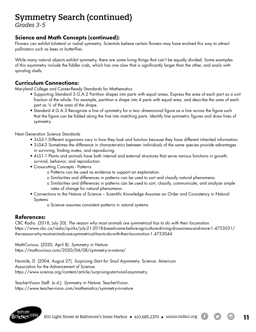### Symmetry Search (continued)

*Grades 3-5*

### Science and Math Concepts (continued):

Flowers can exhibit bilateral or radial symmetry. Scientists believe certain flowers may have evolved this way to attract pollinators such as bees or butterflies.

While many natural objects exhibit symmetry, there are some living things that can't be equally divided. Some examples of this asymmetry include the fiddler crab, which has one claw that is significantly larger than the other, and snails with spiraling shells.

### Curriculum Connections:

Maryland College and Career-Ready Standards for Mathematics

- Supporting Standard 3.G.A.2 Partition shapes into parts with equal areas. Express the area of each part as a unit fraction of the whole. For example, partition a shape into 4 parts with equal area, and describe the area of each part as ¼ of the area of the shape.
- Standard 4.G.A.3 Recognize a line of symmetry for a two- dimensional figure as a line across the figure such that the figure can be folded along the line into matching parts. Identify line symmetric figures and draw lines of symmetry.

Next Generation Science Standards

- 3-LS3-1 Different organisms vary in how they look and function because they have different inherited information.
- 3-LS4-2 Sometimes the difference in characteristics between individuals of the same species provide advantages in surviving, finding mates, and reproducing.
- 4-LS1-1 Plants and animals have both internal and external structures that serve various functions in growth, survival, behavior, and reproduction.
- Crosscutting Concepts Patterns
	- o Patterns can be used as evidence to support an explanation.
	- o Similarities and differences in patterns can be used to sort and classify natural phenomena.
	- o Similarities and differences in patterns can be used to sort, classify, communicate, and analyze simple rates of change for natural phenomena.
- Connections to the Nature of Science Scientific Knowledge Assumes an Order and Consistency in Natural Systems
	- o Science assumes consistent patterns in natural systems

### References:

CBC Radio. (2018, July 20). *The reason why most animals are symmetrical has to do with their locomotion.*  https://www.cbc.ca/radio/quirks/july-21-2018-bread-came-before-agriculture-driving-drowsiness-and-more-1.4753031/ the-reason-why-most-animals-are-symmetrical-has-to-do-with-their-locomotion-1.4753044

MathCurious. (2020, April 8). *Symmetry in Nature.* https://mathcurious.com/2020/04/08/symmetry-in-nature/

Normile, D. (2004, August 27). *Surprising Start for Snail Asymmetry.* Science. American Association for the Advancement of Science. https://www.science.org/content/article/surprising-start-snail-asymmetry

TeacherVision Staff. (n.d.). *Symmetry in Nature.* TeacherVision. https://www.teachervision.com/mathematics/symmetry-in-nature



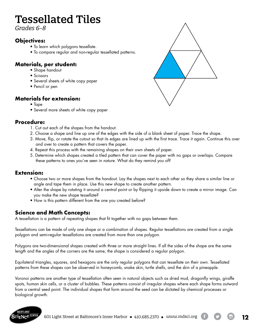## Tessellated Tiles

*Grades 6-8*

### **Objectives:**

- To learn which polygons tessellate.
- To compare regular and non-regular tessellated patterns.

### **Materials, per student:**

- Shape handout
- Scissors
- Several sheets of white copy paper
- Pencil or pen

### **Materials for extension:**

- Tape
- Several more sheets of white copy paper

### **Procedure:**

- 1. Cut out each of the shapes from the handout.
- 2. Choose a shape and line up one of the edges with the side of a blank sheet of paper. Trace the shape.
- 3. Move, flip, or rotate the cutout so that its edges are lined up with the first trace. Trace it again. Continue this over and over to create a pattern that covers the paper.
- 4. Repeat this process with the remaining shapes on their own sheets of paper.
- 5. Determine which shapes created a tiled pattern that can cover the paper with no gaps or overlaps. Compare these patterns to ones you've seen in nature. What do they remind you of?

### **Extension:**

- Choose two or more shapes from the handout. Lay the shapes next to each other so they share a similar line or angle and tape them in place. Use this new shape to create another pattern.
- Alter the shape by rotating it around a central point or by flipping it upside down to create a mirror image. Can you make the new shape tessellate?
- How is this pattern different from the one you created before?

### **Science and Math Concepts:**

A tessellation is a pattern of repeating shapes that fit together with no gaps between them.

Tessellations can be made of only one shape or a combination of shapes. Regular tessellations are created from a single polygon and semi-regular tessellations are created from more than one polygon.

Polygons are two-dimensional shapes created with three or more straight lines. If all the sides of the shape are the same length and the angles of the corners are the same, the shape is considered a regular polygon.

Equilateral triangles, squares, and hexagons are the only regular polygons that can tessellate on their own. Tessellated patterns from these shapes can be observed in honeycomb, snake skin, turtle shells, and the skin of a pineapple.

Voronoi patterns are another type of tessellation often seen in natural objects such as dried mud, dragonfly wings, giraffe spots, human skin cells, or a cluster of bubbles. These patterns consist of irregular shapes where each shape forms outward from a central seed point. The individual shapes that form around the seed can be dictated by chemical processes or biological growth.



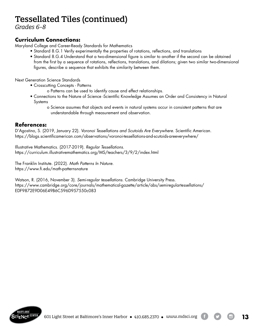## Tessellated Tiles (continued)

*Grades 6-8* 

### **Curriculum Connections:**

Maryland College and Career-Ready Standards for Mathematics

- Standard 8.G.1 Verify experimentally the properties of rotations, reflections, and translations
	- Standard 8.G.4 Understand that a two-dimensional figure is similar to another if the second can be obtained from the first by a sequence of rotations, reflections, translations, and dilations; given two similar two-dimensional figures, describe a sequence that exhibits the similarity between them.

Next Generation Science Standards

- Crosscutting Concepts Patterns
	- o Patterns can be used to identify cause and effect relationships.
- Connections to the Nature of Science -Scientific Knowledge Assumes an Order and Consistency in Natural Systems
	- o Science assumes that objects and events in natural systems occur in consistent patterns that are understandable through measurement and observation.

#### **References:**

D'Agostino, S. (2019, January 22). *Voronoi Tessellations and Scutoids Are Everywhere.* Scientific American. https://blogs.scientificamerican.com/observations/voronoi-tessellations-and-scutoids-areeverywhere/

Illustrative Mathematics. (2017-2019). *Regular Tessellations.* https://curriculum.illustrativemathematics.org/MS/teachers/3/9/2/index.html

The Franklin Institute. (2022). *Math Patterns In Nature.* https://www.fi.edu/math-patternsnature

Watson, R. (2016, November 3). *Semi-regular tessellations.* Cambridge University Press. https://www.cambridge.org/core/journals/mathematical-gazette/article/abs/semiregulartessellations/ EDF9872E9D06E49B6C596D957550c083